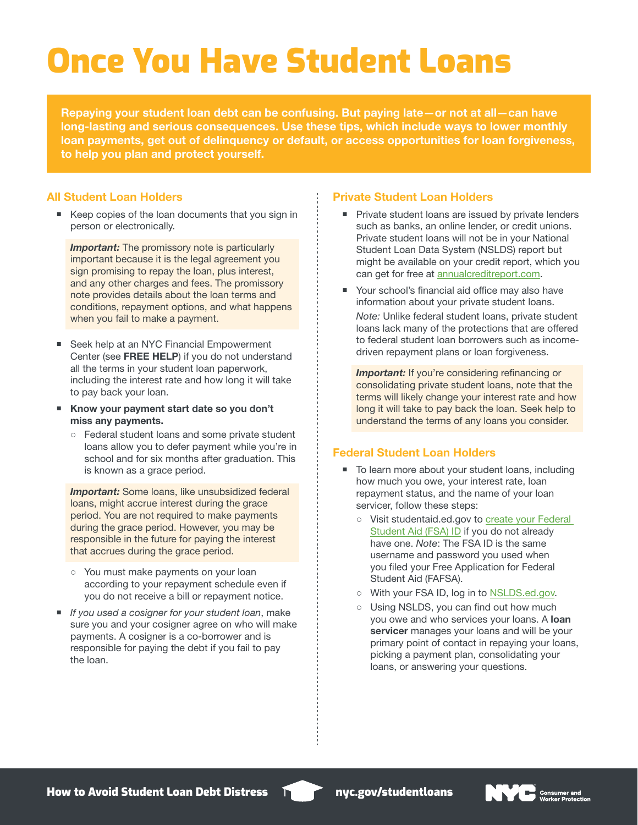# Once You Have Student Loans

Repaying your student loan debt can be confusing. But paying late—or not at all—can have long-lasting and serious consequences. Use these tips, which include ways to lower monthly loan payments, get out of delinquency or default, or access opportunities for loan forgiveness, to help you plan and protect yourself.

#### All Student Loan Holders

■ Keep copies of the loan documents that you sign in person or electronically.

**Important:** The promissory note is particularly important because it is the legal agreement you sign promising to repay the loan, plus interest, and any other charges and fees. The promissory note provides details about the loan terms and conditions, repayment options, and what happens when you fail to make a payment.

- Seek help at an NYC Financial Empowerment Center (see FREE HELP) if you do not understand all the terms in your student loan paperwork, including the interest rate and how long it will take to pay back your loan.
- Know your payment start date so you don't miss any payments.
	- Federal student loans and some private student loans allow you to defer payment while you're in school and for six months after graduation. This is known as a grace period.

**Important:** Some loans, like unsubsidized federal loans, might accrue interest during the grace period. You are not required to make payments during the grace period. However, you may be responsible in the future for paying the interest that accrues during the grace period.

- You must make payments on your loan according to your repayment schedule even if you do not receive a bill or repayment notice.
- *If you used a cosigner for your student loan*, make sure you and your cosigner agree on who will make payments. A cosigner is a co-borrower and is responsible for paying the debt if you fail to pay the loan.

#### Private Student Loan Holders

- **Private student loans are issued by private lenders** such as banks, an online lender, or credit unions. Private student loans will not be in your National Student Loan Data System (NSLDS) report but might be available on your credit report, which you can get for free at [annualcreditreport.com](https://www.annualcreditreport.com/index.action).
- Your school's financial aid office may also have information about your private student loans. *Note:* Unlike federal student loans, private student loans lack many of the protections that are offered to federal student loan borrowers such as incomedriven repayment plans or loan forgiveness.

**Important:** If you're considering refinancing or consolidating private student loans, note that the terms will likely change your interest rate and how long it will take to pay back the loan. Seek help to understand the terms of any loans you consider.

#### Federal Student Loan Holders

- To learn more about your student loans, including how much you owe, your interest rate, loan repayment status, and the name of your loan servicer, follow these steps:
	- Visit studentaid.ed.gov to create your Federal [Student Aid \(FSA\) ID](https://studentaid.ed.gov/sa/fafsa/filling-out/fsaid) if you do not already have one. *Note*: The FSA ID is the same username and password you used when you filed your Free Application for Federal Student Aid (FAFSA).
	- With your FSA ID, log in to [NSLDS.ed.gov](https://nslds.ed.gov/nslds/nslds_SA/).
	- o Using NSLDS, you can find out how much you owe and who services your loans. A loan servicer manages your loans and will be your primary point of contact in repaying your loans, picking a payment plan, consolidating your loans, or answering your questions.

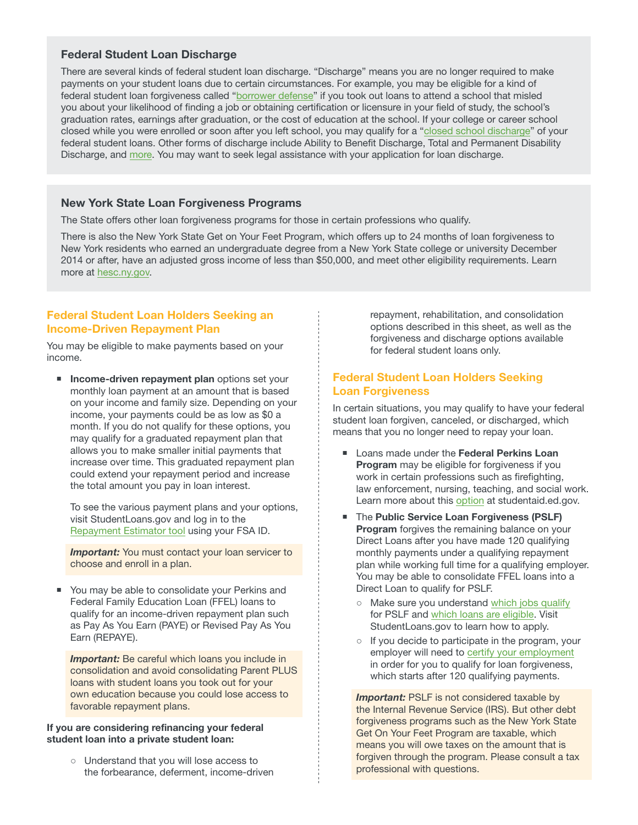## Federal Student Loan Discharge

There are several kinds of federal student loan discharge. "Discharge" means you are no longer required to make payments on your student loans due to certain circumstances. For example, you may be eligible for a kind of federal student loan forgiveness called "[borrower defense"](https://studentaid.ed.gov/sa/repay-loans/forgiveness-cancellation/borrower-defense#who-qualifies) if you took out loans to attend a school that misled you about your likelihood of finding a job or obtaining certification or licensure in your field of study, the school's graduation rates, earnings after graduation, or the cost of education at the school. If your college or career school closed while you were enrolled or soon after you left school, you may qualify for a ["closed school discharge](https://studentaid.ed.gov/sa/about/announcements/closed-school)" of your federal student loans. Other forms of discharge include Ability to Benefit Discharge, Total and Permanent Disability Discharge, and [more.](https://studentaid.ed.gov/sa/repay-loans/forgiveness-cancellation) You may want to seek legal assistance with your application for loan discharge.

#### New York State Loan Forgiveness Programs

The State offers other loan forgiveness programs for those in certain professions who qualify.

There is also the New York State Get on Your Feet Program, which offers up to 24 months of loan forgiveness to New York residents who earned an undergraduate degree from a New York State college or university December 2014 or after, have an adjusted gross income of less than \$50,000, and meet other eligibility requirements. Learn more at [hesc.ny.gov](https://studentaid.ed.gov/sa/fafsa/filling-out/fsaid).

## Federal Student Loan Holders Seeking an Income-Driven Repayment Plan

You may be eligible to make payments based on your income.

**Income-driven repayment plan options set your** monthly loan payment at an amount that is based on your income and family size. Depending on your income, your payments could be as low as \$0 a month. If you do not qualify for these options, you may qualify for a graduated repayment plan that allows you to make smaller initial payments that increase over time. This graduated repayment plan could extend your repayment period and increase the total amount you pay in loan interest.

To see the various payment plans and your options, visit StudentLoans.gov and log in to the [Repayment Estimator tool](https://studentloans.gov/myDirectLoan/repaymentEstimator.action) using your FSA ID.

**Important:** You must contact your loan servicer to choose and enroll in a plan.

 You may be able to consolidate your Perkins and Federal Family Education Loan (FFEL) loans to qualify for an income-driven repayment plan such as Pay As You Earn (PAYE) or Revised Pay As You Earn (REPAYE).

*Important:* Be careful which loans you include in consolidation and avoid consolidating Parent PLUS loans with student loans you took out for your own education because you could lose access to favorable repayment plans.

#### If you are considering refinancing your federal student loan into a private student loan:

○ Understand that you will lose access to the forbearance, deferment, income-driven repayment, rehabilitation, and consolidation options described in this sheet, as well as the forgiveness and discharge options available for federal student loans only.

# Federal Student Loan Holders Seeking Loan Forgiveness

In certain situations, you may qualify to have your federal student loan forgiven, canceled, or discharged, which means that you no longer need to repay your loan.

- Loans made under the Federal Perkins Loan Program may be eligible for forgiveness if you work in certain professions such as firefighting, law enforcement, nursing, teaching, and social work. Learn more about this [option](https://studentaid.ed.gov/sa/repay-loans/forgiveness-cancellation/perkins) at studentaid.ed.gov.
- The Public Service Loan Forgiveness (PSLF) **Program** forgives the remaining balance on your Direct Loans after you have made 120 qualifying monthly payments under a qualifying repayment plan while working full time for a qualifying employer. You may be able to consolidate FFEL loans into a Direct Loan to qualify for PSLF.
	- Make sure you understand [which jobs qualify](https://studentaid.ed.gov/sa/repay-loans/forgiveness-cancellation/public-service#qualifying-employment) for PSLF and [which loans are eligible](https://studentaid.ed.gov/sa/repay-loans/forgiveness-cancellation/public-service#eligible-loans). Visit StudentLoans.gov to learn how to apply.
	- If you decide to participate in the program, your employer will need to [certify your employment](https://studentaid.ed.gov/sa/sites/default/files/public-service-employment-certification-form.pdf) in order for you to qualify for loan forgiveness, which starts after 120 qualifying payments.

**Important:** PSLF is not considered taxable by the Internal Revenue Service (IRS). But other debt forgiveness programs such as the New York State Get On Your Feet Program are taxable, which means you will owe taxes on the amount that is forgiven through the program. Please consult a tax professional with questions.